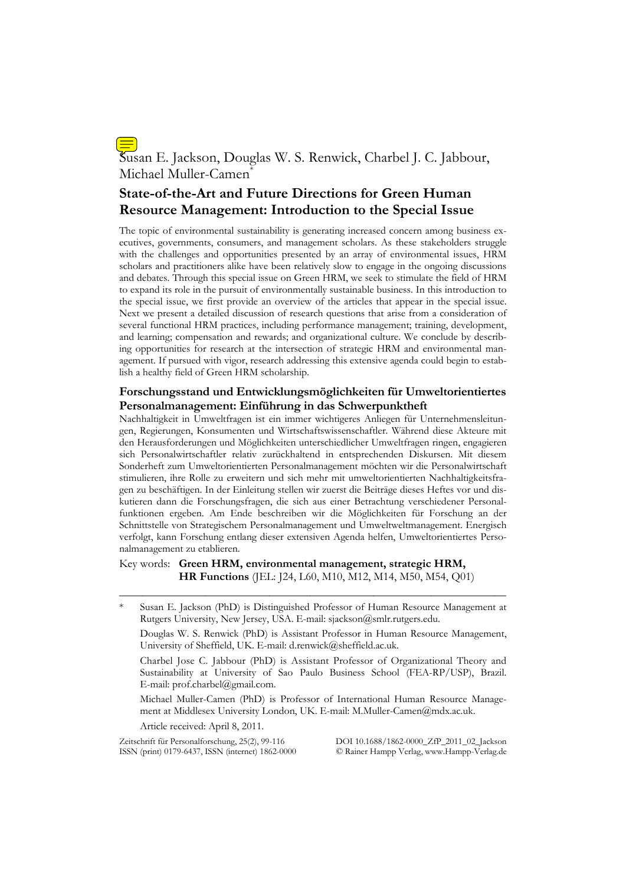# Susan E. Jackson, Douglas W. S. Renwick, Charbel J. C. Jabbour, Michael Muller-Camen<sup>\*</sup>

# **State-of-the-Art and Future Directions for Green Human Resource Management: Introduction to the Special Issue**

The topic of environmental sustainability is generating increased concern among business executives, governments, consumers, and management scholars. As these stakeholders struggle with the challenges and opportunities presented by an array of environmental issues, HRM scholars and practitioners alike have been relatively slow to engage in the ongoing discussions and debates. Through this special issue on Green HRM, we seek to stimulate the field of HRM to expand its role in the pursuit of environmentally sustainable business. In this introduction to the special issue, we first provide an overview of the articles that appear in the special issue. Next we present a detailed discussion of research questions that arise from a consideration of several functional HRM practices, including performance management; training, development, and learning; compensation and rewards; and organizational culture. We conclude by describing opportunities for research at the intersection of strategic HRM and environmental management. If pursued with vigor, research addressing this extensive agenda could begin to establish a healthy field of Green HRM scholarship.

## **Forschungsstand und Entwicklungsmöglichkeiten für Umweltorientiertes Personalmanagement: Einführung in das Schwerpunktheft**

Nachhaltigkeit in Umweltfragen ist ein immer wichtigeres Anliegen für Unternehmensleitungen, Regierungen, Konsumenten und Wirtschaftswissenschaftler. Während diese Akteure mit den Herausforderungen und Möglichkeiten unterschiedlicher Umweltfragen ringen, engagieren sich Personalwirtschaftler relativ zurückhaltend in entsprechenden Diskursen. Mit diesem Sonderheft zum Umweltorientierten Personalmanagement möchten wir die Personalwirtschaft stimulieren, ihre Rolle zu erweitern und sich mehr mit umweltorientierten Nachhaltigkeitsfragen zu beschäftigen. In der Einleitung stellen wir zuerst die Beiträge dieses Heftes vor und diskutieren dann die Forschungsfragen, die sich aus einer Betrachtung verschiedener Personalfunktionen ergeben. Am Ende beschreiben wir die Möglichkeiten für Forschung an der Schnittstelle von Strategischem Personalmanagement und Umweltweltmanagement. Energisch verfolgt, kann Forschung entlang dieser extensiven Agenda helfen, Umweltorientiertes Personalmanagement zu etablieren.

### Key words: **Green HRM, environmental management, strategic HRM, HR Functions** (JEL: J24, L60, M10, M12, M14, M50, M54, Q01)

Zeitschrift für Personalforschung, 25(2), 99-116 DOI 10.1688/1862-0000\_ZfP\_2011\_02\_Jackson<br>ISSN (print) 0179-6437, ISSN (internet) 1862-0000 © Rainer Hampp Verlag, www.Hampp-Verlag.de Susan E. Jackson (PhD) is Distinguished Professor of Human Resource Management at Rutgers University, New Jersey, USA. E-mail: sjackson@smlr.rutgers.edu. Douglas W. S. Renwick (PhD) is Assistant Professor in Human Resource Management, University of Sheffield, UK. E-mail: d.renwick@sheffield.ac.uk. Charbel Jose C. Jabbour (PhD) is Assistant Professor of Organizational Theory and Sustainability at University of Sao Paulo Business School (FEA-RP/USP), Brazil. E-mail: prof.charbel@gmail.com. Michael Muller-Camen (PhD) is Professor of International Human Resource Management at Middlesex University London, UK. E-mail: M.Muller-Camen@mdx.ac.uk. Article received: April 8, 2011.

*\_\_\_\_\_\_\_\_\_\_\_\_\_\_\_\_\_\_\_\_\_\_\_\_\_\_\_\_\_\_\_\_\_\_\_\_\_\_\_\_\_\_\_\_\_\_\_\_\_\_\_\_\_\_\_\_\_\_\_\_\_\_\_\_\_\_\_* 

ISSN (print) 0179-6437, ISSN (internet) 1862-0000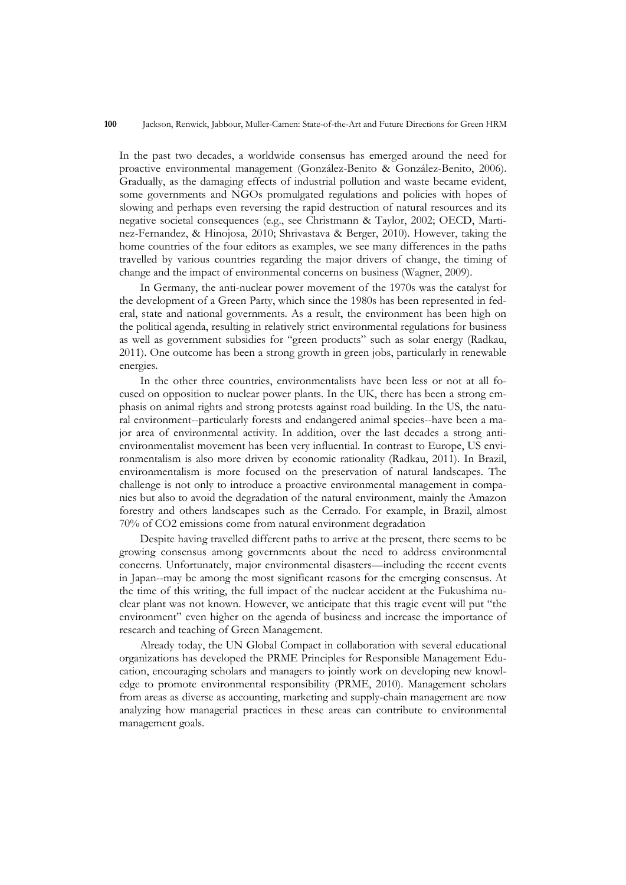In the past two decades, a worldwide consensus has emerged around the need for proactive environmental management (González-Benito & González-Benito, 2006). Gradually, as the damaging effects of industrial pollution and waste became evident, some governments and NGOs promulgated regulations and policies with hopes of slowing and perhaps even reversing the rapid destruction of natural resources and its negative societal consequences (e.g., see Christmann & Taylor, 2002; OECD, Martinez-Fernandez, & Hinojosa, 2010; Shrivastava & Berger, 2010). However, taking the home countries of the four editors as examples, we see many differences in the paths travelled by various countries regarding the major drivers of change, the timing of change and the impact of environmental concerns on business (Wagner, 2009).

In Germany, the anti-nuclear power movement of the 1970s was the catalyst for the development of a Green Party, which since the 1980s has been represented in federal, state and national governments. As a result, the environment has been high on the political agenda, resulting in relatively strict environmental regulations for business as well as government subsidies for "green products" such as solar energy (Radkau, 2011). One outcome has been a strong growth in green jobs, particularly in renewable energies.

In the other three countries, environmentalists have been less or not at all focused on opposition to nuclear power plants. In the UK, there has been a strong emphasis on animal rights and strong protests against road building. In the US, the natural environment--particularly forests and endangered animal species--have been a major area of environmental activity. In addition, over the last decades a strong antienvironmentalist movement has been very influential. In contrast to Europe, US environmentalism is also more driven by economic rationality (Radkau, 2011). In Brazil, environmentalism is more focused on the preservation of natural landscapes. The challenge is not only to introduce a proactive environmental management in companies but also to avoid the degradation of the natural environment, mainly the Amazon forestry and others landscapes such as the Cerrado. For example, in Brazil, almost 70% of CO2 emissions come from natural environment degradation

Despite having travelled different paths to arrive at the present, there seems to be growing consensus among governments about the need to address environmental concerns. Unfortunately, major environmental disasters—including the recent events in Japan--may be among the most significant reasons for the emerging consensus. At the time of this writing, the full impact of the nuclear accident at the Fukushima nuclear plant was not known. However, we anticipate that this tragic event will put "the environment" even higher on the agenda of business and increase the importance of research and teaching of Green Management.

Already today, the UN Global Compact in collaboration with several educational organizations has developed the PRME Principles for Responsible Management Education, encouraging scholars and managers to jointly work on developing new knowledge to promote environmental responsibility (PRME, 2010). Management scholars from areas as diverse as accounting, marketing and supply-chain management are now analyzing how managerial practices in these areas can contribute to environmental management goals.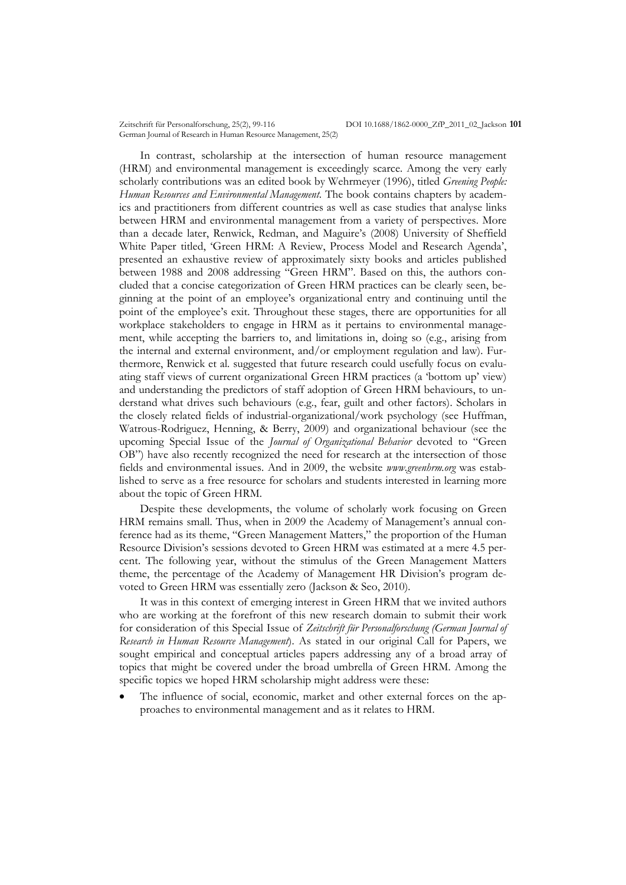Zeitschrift für Personalforschung, 25(2), 99-116 DOI 10.1688/1862-0000\_ZfP\_2011\_02\_Jackson **101**  German Journal of Research in Human Resource Management, 25(2)

In contrast, scholarship at the intersection of human resource management (HRM) and environmental management is exceedingly scarce. Among the very early scholarly contributions was an edited book by Wehrmeyer (1996), titled *Greening People: Human Resources and Environmental Management*. The book contains chapters by academics and practitioners from different countries as well as case studies that analyse links between HRM and environmental management from a variety of perspectives. More than a decade later, Renwick, Redman, and Maguire's (2008) University of Sheffield White Paper titled, 'Green HRM: A Review, Process Model and Research Agenda', presented an exhaustive review of approximately sixty books and articles published between 1988 and 2008 addressing "Green HRM". Based on this, the authors concluded that a concise categorization of Green HRM practices can be clearly seen, beginning at the point of an employee's organizational entry and continuing until the point of the employee's exit. Throughout these stages, there are opportunities for all workplace stakeholders to engage in HRM as it pertains to environmental management, while accepting the barriers to, and limitations in, doing so (e.g., arising from the internal and external environment, and/or employment regulation and law). Furthermore, Renwick et al. suggested that future research could usefully focus on evaluating staff views of current organizational Green HRM practices (a 'bottom up' view) and understanding the predictors of staff adoption of Green HRM behaviours, to understand what drives such behaviours (e.g., fear, guilt and other factors). Scholars in the closely related fields of industrial-organizational/work psychology (see Huffman, Watrous-Rodriguez, Henning, & Berry, 2009) and organizational behaviour (see the upcoming Special Issue of the *Journal of Organizational Behavior* devoted to "Green OB") have also recently recognized the need for research at the intersection of those fields and environmental issues. And in 2009, the website *www.greenhrm.org* was established to serve as a free resource for scholars and students interested in learning more about the topic of Green HRM.

Despite these developments, the volume of scholarly work focusing on Green HRM remains small. Thus, when in 2009 the Academy of Management's annual conference had as its theme, "Green Management Matters," the proportion of the Human Resource Division's sessions devoted to Green HRM was estimated at a mere 4.5 percent. The following year, without the stimulus of the Green Management Matters theme, the percentage of the Academy of Management HR Division's program devoted to Green HRM was essentially zero (Jackson & Seo, 2010).

It was in this context of emerging interest in Green HRM that we invited authors who are working at the forefront of this new research domain to submit their work for consideration of this Special Issue of *Zeitschrift für Personalforschung (German Journal of Research in Human Resource Management*). As stated in our original Call for Papers, we sought empirical and conceptual articles papers addressing any of a broad array of topics that might be covered under the broad umbrella of Green HRM. Among the specific topics we hoped HRM scholarship might address were these:

 The influence of social, economic, market and other external forces on the approaches to environmental management and as it relates to HRM.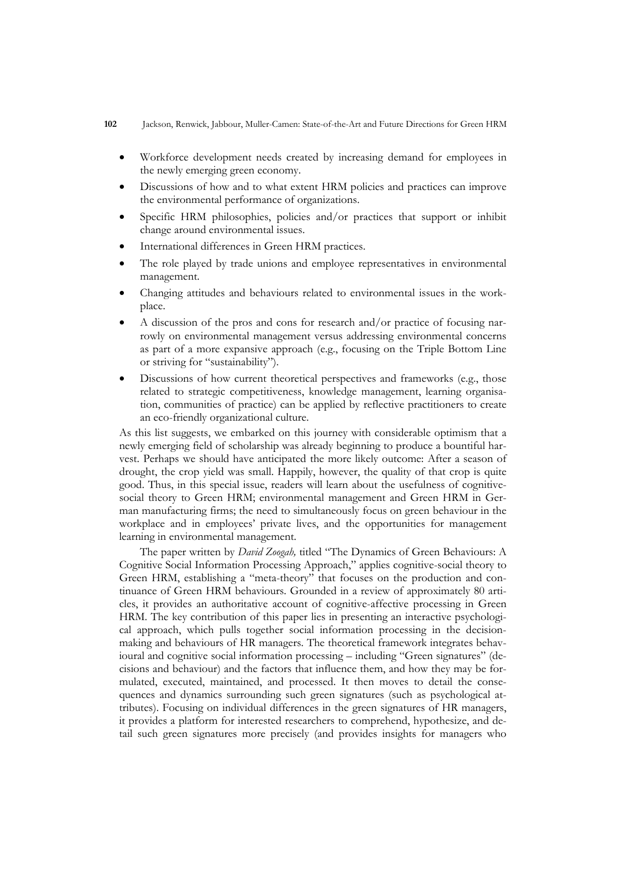- Workforce development needs created by increasing demand for employees in the newly emerging green economy.
- Discussions of how and to what extent HRM policies and practices can improve the environmental performance of organizations.
- Specific HRM philosophies, policies and/or practices that support or inhibit change around environmental issues.
- International differences in Green HRM practices.
- The role played by trade unions and employee representatives in environmental management.
- Changing attitudes and behaviours related to environmental issues in the workplace.
- A discussion of the pros and cons for research and/or practice of focusing narrowly on environmental management versus addressing environmental concerns as part of a more expansive approach (e.g., focusing on the Triple Bottom Line or striving for "sustainability").
- Discussions of how current theoretical perspectives and frameworks (e.g., those related to strategic competitiveness, knowledge management, learning organisation, communities of practice) can be applied by reflective practitioners to create an eco-friendly organizational culture.

As this list suggests, we embarked on this journey with considerable optimism that a newly emerging field of scholarship was already beginning to produce a bountiful harvest. Perhaps we should have anticipated the more likely outcome: After a season of drought, the crop yield was small. Happily, however, the quality of that crop is quite good. Thus, in this special issue, readers will learn about the usefulness of cognitivesocial theory to Green HRM; environmental management and Green HRM in German manufacturing firms; the need to simultaneously focus on green behaviour in the workplace and in employees' private lives, and the opportunities for management learning in environmental management.

The paper written by *David Zoogah,* titled "The Dynamics of Green Behaviours: A Cognitive Social Information Processing Approach," applies cognitive-social theory to Green HRM, establishing a "meta-theory" that focuses on the production and continuance of Green HRM behaviours. Grounded in a review of approximately 80 articles, it provides an authoritative account of cognitive-affective processing in Green HRM. The key contribution of this paper lies in presenting an interactive psychological approach, which pulls together social information processing in the decisionmaking and behaviours of HR managers. The theoretical framework integrates behavioural and cognitive social information processing – including "Green signatures" (decisions and behaviour) and the factors that influence them, and how they may be formulated, executed, maintained, and processed. It then moves to detail the consequences and dynamics surrounding such green signatures (such as psychological attributes). Focusing on individual differences in the green signatures of HR managers, it provides a platform for interested researchers to comprehend, hypothesize, and detail such green signatures more precisely (and provides insights for managers who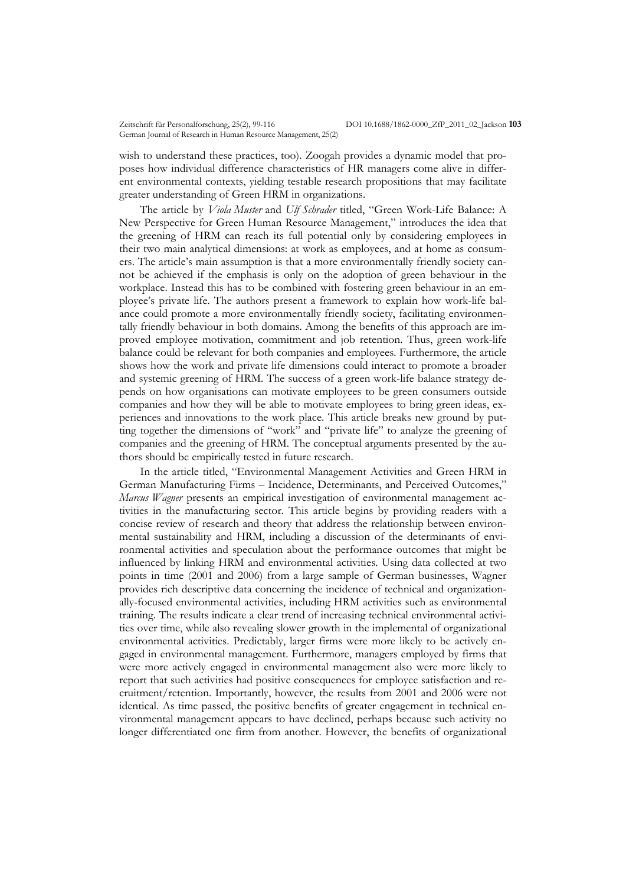wish to understand these practices, too). Zoogah provides a dynamic model that proposes how individual difference characteristics of HR managers come alive in different environmental contexts, yielding testable research propositions that may facilitate greater understanding of Green HRM in organizations.

The article by *Viola Muster* and *Ulf Schrader* titled, "Green Work-Life Balance: A New Perspective for Green Human Resource Management," introduces the idea that the greening of HRM can reach its full potential only by considering employees in their two main analytical dimensions: at work as employees, and at home as consumers. The article's main assumption is that a more environmentally friendly society cannot be achieved if the emphasis is only on the adoption of green behaviour in the workplace. Instead this has to be combined with fostering green behaviour in an employee's private life. The authors present a framework to explain how work-life balance could promote a more environmentally friendly society, facilitating environmentally friendly behaviour in both domains. Among the benefits of this approach are improved employee motivation, commitment and job retention. Thus, green work-life balance could be relevant for both companies and employees. Furthermore, the article shows how the work and private life dimensions could interact to promote a broader and systemic greening of HRM. The success of a green work-life balance strategy depends on how organisations can motivate employees to be green consumers outside companies and how they will be able to motivate employees to bring green ideas, experiences and innovations to the work place. This article breaks new ground by putting together the dimensions of "work" and "private life" to analyze the greening of companies and the greening of HRM. The conceptual arguments presented by the authors should be empirically tested in future research.

In the article titled, "Environmental Management Activities and Green HRM in German Manufacturing Firms – Incidence, Determinants, and Perceived Outcomes," *Marcus Wagner* presents an empirical investigation of environmental management activities in the manufacturing sector. This article begins by providing readers with a concise review of research and theory that address the relationship between environmental sustainability and HRM, including a discussion of the determinants of environmental activities and speculation about the performance outcomes that might be influenced by linking HRM and environmental activities. Using data collected at two points in time (2001 and 2006) from a large sample of German businesses, Wagner provides rich descriptive data concerning the incidence of technical and organizationally-focused environmental activities, including HRM activities such as environmental training. The results indicate a clear trend of increasing technical environmental activities over time, while also revealing slower growth in the implemental of organizational environmental activities. Predictably, larger firms were more likely to be actively engaged in environmental management. Furthermore, managers employed by firms that were more actively engaged in environmental management also were more likely to report that such activities had positive consequences for employee satisfaction and recruitment/retention. Importantly, however, the results from 2001 and 2006 were not identical. As time passed, the positive benefits of greater engagement in technical environmental management appears to have declined, perhaps because such activity no longer differentiated one firm from another. However, the benefits of organizational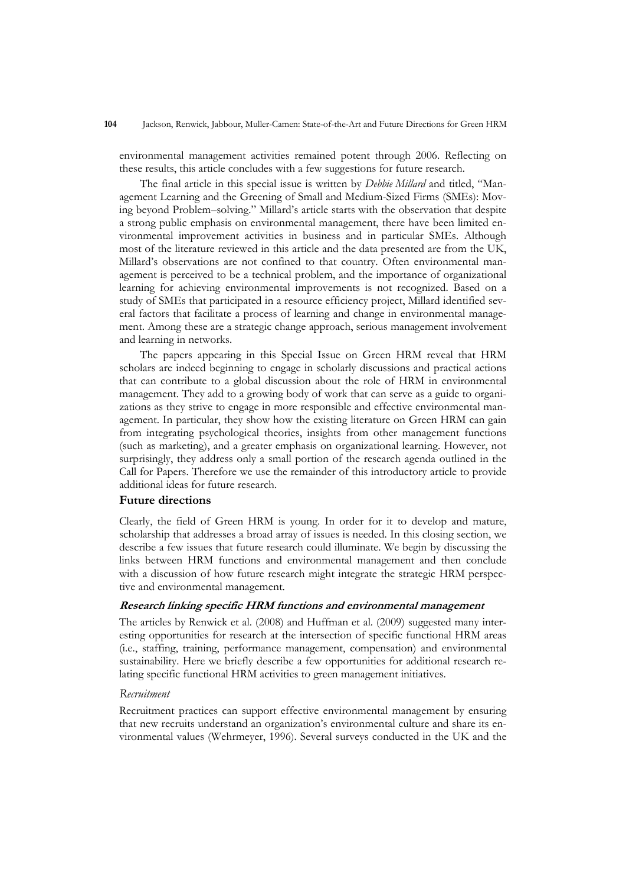environmental management activities remained potent through 2006. Reflecting on these results, this article concludes with a few suggestions for future research.

The final article in this special issue is written by *Debbie Millard* and titled, "Management Learning and the Greening of Small and Medium-Sized Firms (SMEs): Moving beyond Problem–solving." Millard's article starts with the observation that despite a strong public emphasis on environmental management, there have been limited environmental improvement activities in business and in particular SMEs. Although most of the literature reviewed in this article and the data presented are from the UK, Millard's observations are not confined to that country. Often environmental management is perceived to be a technical problem, and the importance of organizational learning for achieving environmental improvements is not recognized. Based on a study of SMEs that participated in a resource efficiency project, Millard identified several factors that facilitate a process of learning and change in environmental management. Among these are a strategic change approach, serious management involvement and learning in networks.

The papers appearing in this Special Issue on Green HRM reveal that HRM scholars are indeed beginning to engage in scholarly discussions and practical actions that can contribute to a global discussion about the role of HRM in environmental management. They add to a growing body of work that can serve as a guide to organizations as they strive to engage in more responsible and effective environmental management. In particular, they show how the existing literature on Green HRM can gain from integrating psychological theories, insights from other management functions (such as marketing), and a greater emphasis on organizational learning. However, not surprisingly, they address only a small portion of the research agenda outlined in the Call for Papers. Therefore we use the remainder of this introductory article to provide additional ideas for future research.

# **Future directions**

Clearly, the field of Green HRM is young. In order for it to develop and mature, scholarship that addresses a broad array of issues is needed. In this closing section, we describe a few issues that future research could illuminate. We begin by discussing the links between HRM functions and environmental management and then conclude with a discussion of how future research might integrate the strategic HRM perspective and environmental management.

#### **Research linking specific HRM functions and environmental management**

The articles by Renwick et al. (2008) and Huffman et al. (2009) suggested many interesting opportunities for research at the intersection of specific functional HRM areas (i.e., staffing, training, performance management, compensation) and environmental sustainability. Here we briefly describe a few opportunities for additional research relating specific functional HRM activities to green management initiatives.

#### *Recruitment*

Recruitment practices can support effective environmental management by ensuring that new recruits understand an organization's environmental culture and share its environmental values (Wehrmeyer, 1996). Several surveys conducted in the UK and the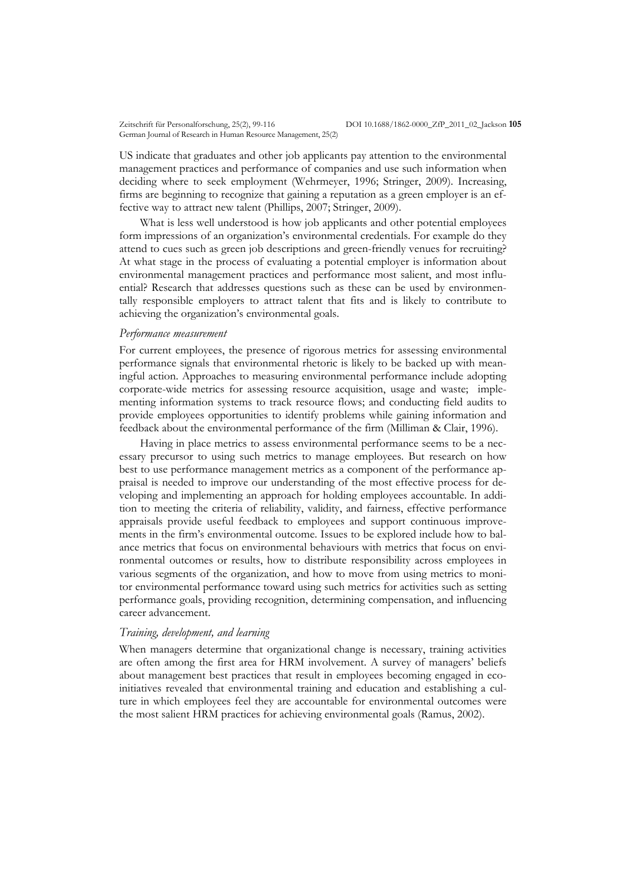Zeitschrift für Personalforschung, 25(2), 99-116 DOI 10.1688/1862-0000\_ZfP\_2011\_02\_Jackson **105**  German Journal of Research in Human Resource Management, 25(2)

US indicate that graduates and other job applicants pay attention to the environmental management practices and performance of companies and use such information when deciding where to seek employment (Wehrmeyer, 1996; Stringer, 2009). Increasing, firms are beginning to recognize that gaining a reputation as a green employer is an effective way to attract new talent (Phillips, 2007; Stringer, 2009).

What is less well understood is how job applicants and other potential employees form impressions of an organization's environmental credentials. For example do they attend to cues such as green job descriptions and green-friendly venues for recruiting? At what stage in the process of evaluating a potential employer is information about environmental management practices and performance most salient, and most influential? Research that addresses questions such as these can be used by environmentally responsible employers to attract talent that fits and is likely to contribute to achieving the organization's environmental goals.

#### *Performance measurement*

For current employees, the presence of rigorous metrics for assessing environmental performance signals that environmental rhetoric is likely to be backed up with meaningful action. Approaches to measuring environmental performance include adopting corporate-wide metrics for assessing resource acquisition, usage and waste; implementing information systems to track resource flows; and conducting field audits to provide employees opportunities to identify problems while gaining information and feedback about the environmental performance of the firm (Milliman & Clair, 1996).

Having in place metrics to assess environmental performance seems to be a necessary precursor to using such metrics to manage employees. But research on how best to use performance management metrics as a component of the performance appraisal is needed to improve our understanding of the most effective process for developing and implementing an approach for holding employees accountable. In addition to meeting the criteria of reliability, validity, and fairness, effective performance appraisals provide useful feedback to employees and support continuous improvements in the firm's environmental outcome. Issues to be explored include how to balance metrics that focus on environmental behaviours with metrics that focus on environmental outcomes or results, how to distribute responsibility across employees in various segments of the organization, and how to move from using metrics to monitor environmental performance toward using such metrics for activities such as setting performance goals, providing recognition, determining compensation, and influencing career advancement.

#### *Training, development, and learning*

When managers determine that organizational change is necessary, training activities are often among the first area for HRM involvement. A survey of managers' beliefs about management best practices that result in employees becoming engaged in ecoinitiatives revealed that environmental training and education and establishing a culture in which employees feel they are accountable for environmental outcomes were the most salient HRM practices for achieving environmental goals (Ramus, 2002).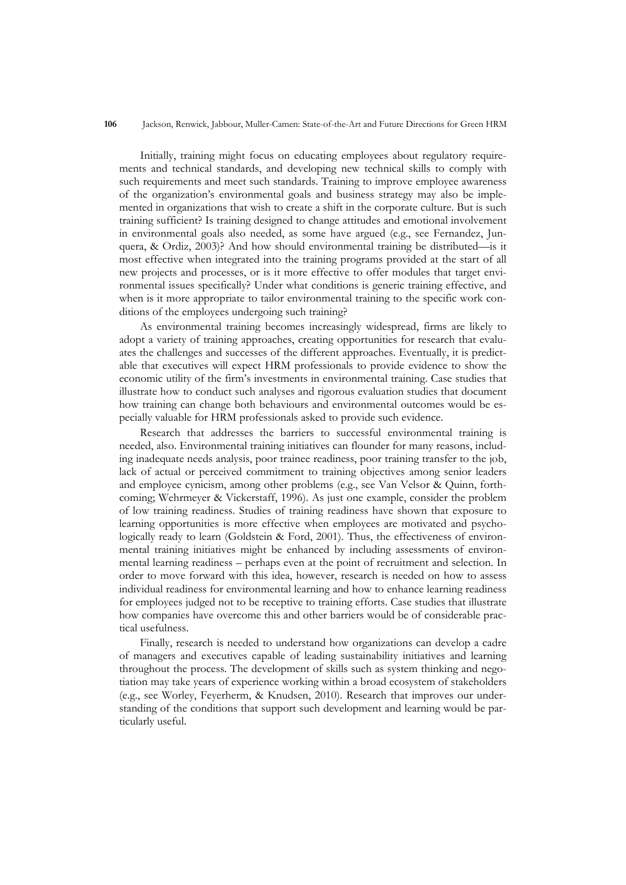Initially, training might focus on educating employees about regulatory requirements and technical standards, and developing new technical skills to comply with such requirements and meet such standards. Training to improve employee awareness of the organization's environmental goals and business strategy may also be implemented in organizations that wish to create a shift in the corporate culture. But is such training sufficient? Is training designed to change attitudes and emotional involvement in environmental goals also needed, as some have argued (e.g., see Fernandez, Junquera, & Ordiz, 2003)? And how should environmental training be distributed—is it most effective when integrated into the training programs provided at the start of all new projects and processes, or is it more effective to offer modules that target environmental issues specifically? Under what conditions is generic training effective, and when is it more appropriate to tailor environmental training to the specific work conditions of the employees undergoing such training?

As environmental training becomes increasingly widespread, firms are likely to adopt a variety of training approaches, creating opportunities for research that evaluates the challenges and successes of the different approaches. Eventually, it is predictable that executives will expect HRM professionals to provide evidence to show the economic utility of the firm's investments in environmental training. Case studies that illustrate how to conduct such analyses and rigorous evaluation studies that document how training can change both behaviours and environmental outcomes would be especially valuable for HRM professionals asked to provide such evidence.

Research that addresses the barriers to successful environmental training is needed, also. Environmental training initiatives can flounder for many reasons, including inadequate needs analysis, poor trainee readiness, poor training transfer to the job, lack of actual or perceived commitment to training objectives among senior leaders and employee cynicism, among other problems (e.g., see Van Velsor & Quinn, forthcoming; Wehrmeyer & Vickerstaff, 1996). As just one example, consider the problem of low training readiness. Studies of training readiness have shown that exposure to learning opportunities is more effective when employees are motivated and psychologically ready to learn (Goldstein & Ford, 2001). Thus, the effectiveness of environmental training initiatives might be enhanced by including assessments of environmental learning readiness – perhaps even at the point of recruitment and selection. In order to move forward with this idea, however, research is needed on how to assess individual readiness for environmental learning and how to enhance learning readiness for employees judged not to be receptive to training efforts. Case studies that illustrate how companies have overcome this and other barriers would be of considerable practical usefulness.

Finally, research is needed to understand how organizations can develop a cadre of managers and executives capable of leading sustainability initiatives and learning throughout the process. The development of skills such as system thinking and negotiation may take years of experience working within a broad ecosystem of stakeholders (e.g., see Worley, Feyerherm, & Knudsen, 2010). Research that improves our understanding of the conditions that support such development and learning would be particularly useful.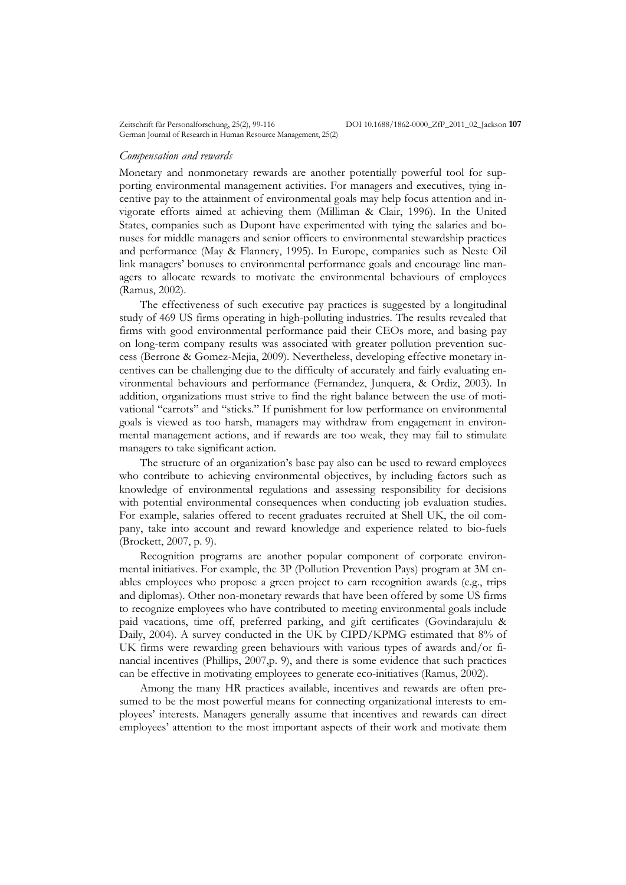Zeitschrift für Personalforschung, 25(2), 99-116 DOI 10.1688/1862-0000\_ZfP\_2011\_02\_Jackson **107**  German Journal of Research in Human Resource Management, 25(2)

#### *Compensation and rewards*

Monetary and nonmonetary rewards are another potentially powerful tool for supporting environmental management activities. For managers and executives, tying incentive pay to the attainment of environmental goals may help focus attention and invigorate efforts aimed at achieving them (Milliman & Clair, 1996). In the United States, companies such as Dupont have experimented with tying the salaries and bonuses for middle managers and senior officers to environmental stewardship practices and performance (May & Flannery, 1995). In Europe, companies such as Neste Oil link managers' bonuses to environmental performance goals and encourage line managers to allocate rewards to motivate the environmental behaviours of employees (Ramus, 2002).

The effectiveness of such executive pay practices is suggested by a longitudinal study of 469 US firms operating in high-polluting industries. The results revealed that firms with good environmental performance paid their CEOs more, and basing pay on long-term company results was associated with greater pollution prevention success (Berrone & Gomez-Mejia, 2009). Nevertheless, developing effective monetary incentives can be challenging due to the difficulty of accurately and fairly evaluating environmental behaviours and performance (Fernandez, Junquera, & Ordiz, 2003). In addition, organizations must strive to find the right balance between the use of motivational "carrots" and "sticks." If punishment for low performance on environmental goals is viewed as too harsh, managers may withdraw from engagement in environmental management actions, and if rewards are too weak, they may fail to stimulate managers to take significant action.

The structure of an organization's base pay also can be used to reward employees who contribute to achieving environmental objectives, by including factors such as knowledge of environmental regulations and assessing responsibility for decisions with potential environmental consequences when conducting job evaluation studies. For example, salaries offered to recent graduates recruited at Shell UK, the oil company, take into account and reward knowledge and experience related to bio-fuels (Brockett, 2007, p. 9).

Recognition programs are another popular component of corporate environmental initiatives. For example, the 3P (Pollution Prevention Pays) program at 3M enables employees who propose a green project to earn recognition awards (e.g., trips and diplomas). Other non-monetary rewards that have been offered by some US firms to recognize employees who have contributed to meeting environmental goals include paid vacations, time off, preferred parking, and gift certificates (Govindarajulu & Daily, 2004). A survey conducted in the UK by CIPD/KPMG estimated that 8% of UK firms were rewarding green behaviours with various types of awards and/or financial incentives (Phillips, 2007,p. 9), and there is some evidence that such practices can be effective in motivating employees to generate eco-initiatives (Ramus, 2002).

Among the many HR practices available, incentives and rewards are often presumed to be the most powerful means for connecting organizational interests to employees' interests. Managers generally assume that incentives and rewards can direct employees' attention to the most important aspects of their work and motivate them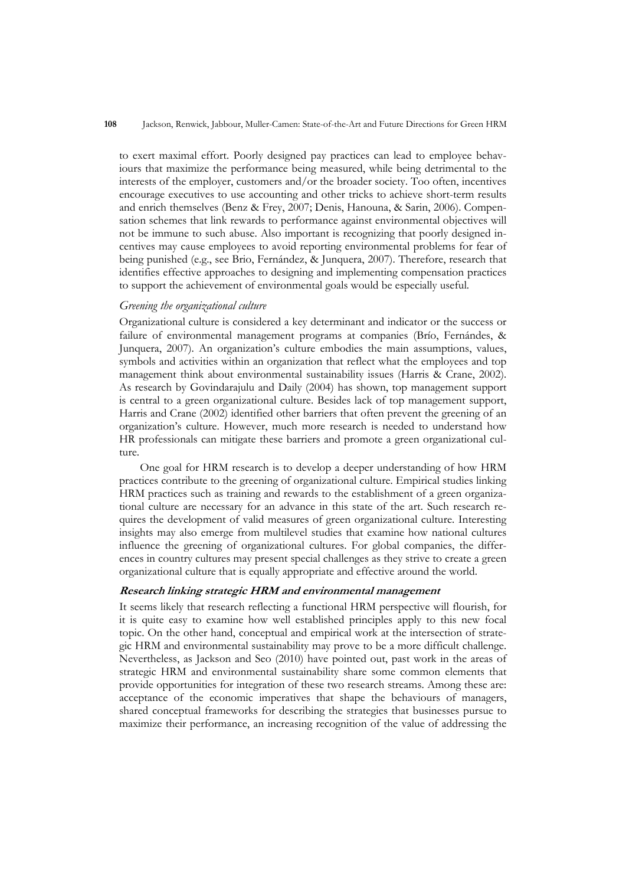to exert maximal effort. Poorly designed pay practices can lead to employee behaviours that maximize the performance being measured, while being detrimental to the interests of the employer, customers and/or the broader society. Too often, incentives encourage executives to use accounting and other tricks to achieve short-term results and enrich themselves (Benz & Frey, 2007; Denis, Hanouna, & Sarin, 2006). Compensation schemes that link rewards to performance against environmental objectives will not be immune to such abuse. Also important is recognizing that poorly designed incentives may cause employees to avoid reporting environmental problems for fear of being punished (e.g., see Brio, Fernández, & Junquera, 2007). Therefore, research that identifies effective approaches to designing and implementing compensation practices to support the achievement of environmental goals would be especially useful.

#### *Greening the organizational culture*

Organizational culture is considered a key determinant and indicator or the success or failure of environmental management programs at companies (Brío, Fernándes, & Junquera, 2007). An organization's culture embodies the main assumptions, values, symbols and activities within an organization that reflect what the employees and top management think about environmental sustainability issues (Harris & Crane, 2002). As research by Govindarajulu and Daily (2004) has shown, top management support is central to a green organizational culture. Besides lack of top management support, Harris and Crane (2002) identified other barriers that often prevent the greening of an organization's culture. However, much more research is needed to understand how HR professionals can mitigate these barriers and promote a green organizational culture.

One goal for HRM research is to develop a deeper understanding of how HRM practices contribute to the greening of organizational culture. Empirical studies linking HRM practices such as training and rewards to the establishment of a green organizational culture are necessary for an advance in this state of the art. Such research requires the development of valid measures of green organizational culture. Interesting insights may also emerge from multilevel studies that examine how national cultures influence the greening of organizational cultures. For global companies, the differences in country cultures may present special challenges as they strive to create a green organizational culture that is equally appropriate and effective around the world.

#### **Research linking strategic HRM and environmental management**

It seems likely that research reflecting a functional HRM perspective will flourish, for it is quite easy to examine how well established principles apply to this new focal topic. On the other hand, conceptual and empirical work at the intersection of strategic HRM and environmental sustainability may prove to be a more difficult challenge. Nevertheless, as Jackson and Seo (2010) have pointed out, past work in the areas of strategic HRM and environmental sustainability share some common elements that provide opportunities for integration of these two research streams. Among these are: acceptance of the economic imperatives that shape the behaviours of managers, shared conceptual frameworks for describing the strategies that businesses pursue to maximize their performance, an increasing recognition of the value of addressing the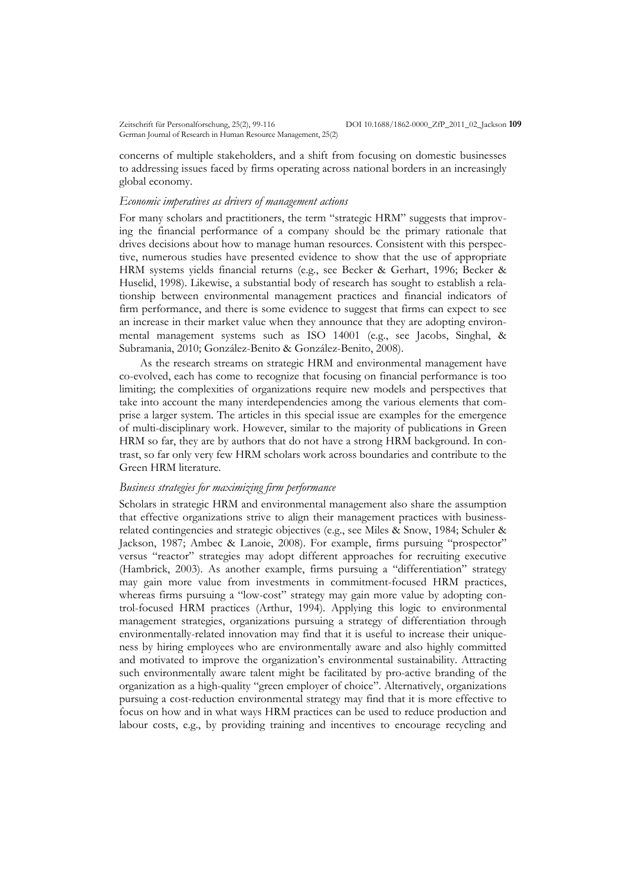Zeitschrift für Personalforschung, 25(2), 99-116 DOI 10.1688/1862-0000\_ZfP\_2011\_02\_Jackson **109**  German Journal of Research in Human Resource Management, 25(2)

concerns of multiple stakeholders, and a shift from focusing on domestic businesses to addressing issues faced by firms operating across national borders in an increasingly global economy.

#### *Economic imperatives as drivers of management actions*

For many scholars and practitioners, the term "strategic HRM" suggests that improving the financial performance of a company should be the primary rationale that drives decisions about how to manage human resources. Consistent with this perspective, numerous studies have presented evidence to show that the use of appropriate HRM systems yields financial returns (e.g., see Becker & Gerhart, 1996; Becker & Huselid, 1998). Likewise, a substantial body of research has sought to establish a relationship between environmental management practices and financial indicators of firm performance, and there is some evidence to suggest that firms can expect to see an increase in their market value when they announce that they are adopting environmental management systems such as ISO 14001 (e.g., see Jacobs, Singhal, & Subramania, 2010; González-Benito & González-Benito, 2008).

As the research streams on strategic HRM and environmental management have co-evolved, each has come to recognize that focusing on financial performance is too limiting; the complexities of organizations require new models and perspectives that take into account the many interdependencies among the various elements that comprise a larger system. The articles in this special issue are examples for the emergence of multi-disciplinary work. However, similar to the majority of publications in Green HRM so far, they are by authors that do not have a strong HRM background. In contrast, so far only very few HRM scholars work across boundaries and contribute to the Green HRM literature.

#### *Business strategies for maximizing firm performance*

Scholars in strategic HRM and environmental management also share the assumption that effective organizations strive to align their management practices with businessrelated contingencies and strategic objectives (e.g., see Miles & Snow, 1984; Schuler & Jackson, 1987; Ambec & Lanoie, 2008). For example, firms pursuing "prospector" versus "reactor" strategies may adopt different approaches for recruiting executive (Hambrick, 2003). As another example, firms pursuing a "differentiation" strategy may gain more value from investments in commitment-focused HRM practices, whereas firms pursuing a "low-cost" strategy may gain more value by adopting control-focused HRM practices (Arthur, 1994). Applying this logic to environmental management strategies, organizations pursuing a strategy of differentiation through environmentally-related innovation may find that it is useful to increase their uniqueness by hiring employees who are environmentally aware and also highly committed and motivated to improve the organization's environmental sustainability. Attracting such environmentally aware talent might be facilitated by pro-active branding of the organization as a high-quality "green employer of choice". Alternatively, organizations pursuing a cost-reduction environmental strategy may find that it is more effective to focus on how and in what ways HRM practices can be used to reduce production and labour costs, e.g., by providing training and incentives to encourage recycling and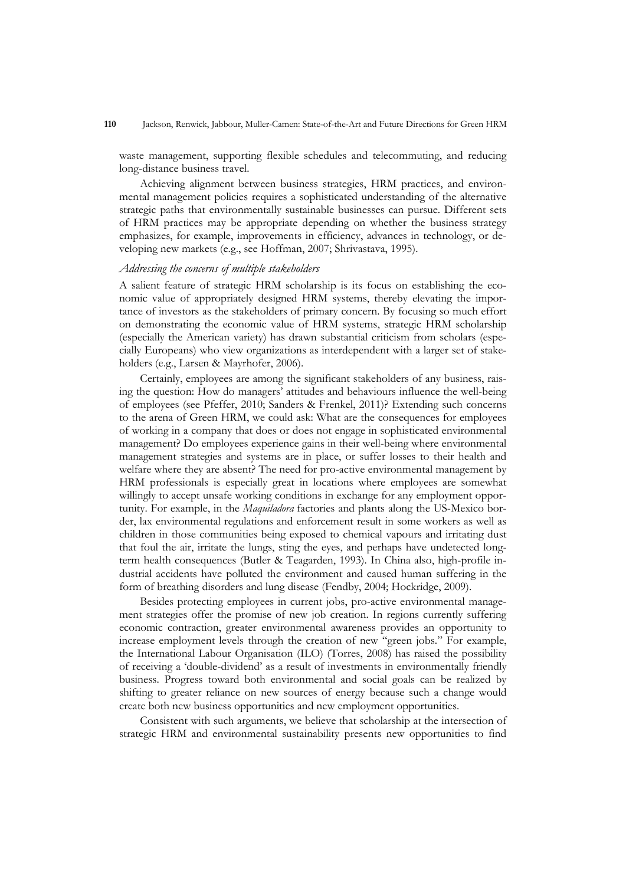waste management, supporting flexible schedules and telecommuting, and reducing long-distance business travel.

Achieving alignment between business strategies, HRM practices, and environmental management policies requires a sophisticated understanding of the alternative strategic paths that environmentally sustainable businesses can pursue. Different sets of HRM practices may be appropriate depending on whether the business strategy emphasizes, for example, improvements in efficiency, advances in technology, or developing new markets (e.g., see Hoffman, 2007; Shrivastava, 1995).

#### *Addressing the concerns of multiple stakeholders*

A salient feature of strategic HRM scholarship is its focus on establishing the economic value of appropriately designed HRM systems, thereby elevating the importance of investors as the stakeholders of primary concern. By focusing so much effort on demonstrating the economic value of HRM systems, strategic HRM scholarship (especially the American variety) has drawn substantial criticism from scholars (especially Europeans) who view organizations as interdependent with a larger set of stakeholders (e.g., Larsen & Mayrhofer, 2006).

Certainly, employees are among the significant stakeholders of any business, raising the question: How do managers' attitudes and behaviours influence the well-being of employees (see Pfeffer, 2010; Sanders & Frenkel, 2011)? Extending such concerns to the arena of Green HRM, we could ask: What are the consequences for employees of working in a company that does or does not engage in sophisticated environmental management? Do employees experience gains in their well-being where environmental management strategies and systems are in place, or suffer losses to their health and welfare where they are absent? The need for pro-active environmental management by HRM professionals is especially great in locations where employees are somewhat willingly to accept unsafe working conditions in exchange for any employment opportunity. For example, in the *Maquiladora* factories and plants along the US-Mexico border, lax environmental regulations and enforcement result in some workers as well as children in those communities being exposed to chemical vapours and irritating dust that foul the air, irritate the lungs, sting the eyes, and perhaps have undetected longterm health consequences (Butler & Teagarden, 1993). In China also, high-profile industrial accidents have polluted the environment and caused human suffering in the form of breathing disorders and lung disease (Fendby, 2004; Hockridge, 2009).

Besides protecting employees in current jobs, pro-active environmental management strategies offer the promise of new job creation. In regions currently suffering economic contraction, greater environmental awareness provides an opportunity to increase employment levels through the creation of new "green jobs." For example, the International Labour Organisation (ILO) (Torres, 2008) has raised the possibility of receiving a 'double-dividend' as a result of investments in environmentally friendly business. Progress toward both environmental and social goals can be realized by shifting to greater reliance on new sources of energy because such a change would create both new business opportunities and new employment opportunities.

Consistent with such arguments, we believe that scholarship at the intersection of strategic HRM and environmental sustainability presents new opportunities to find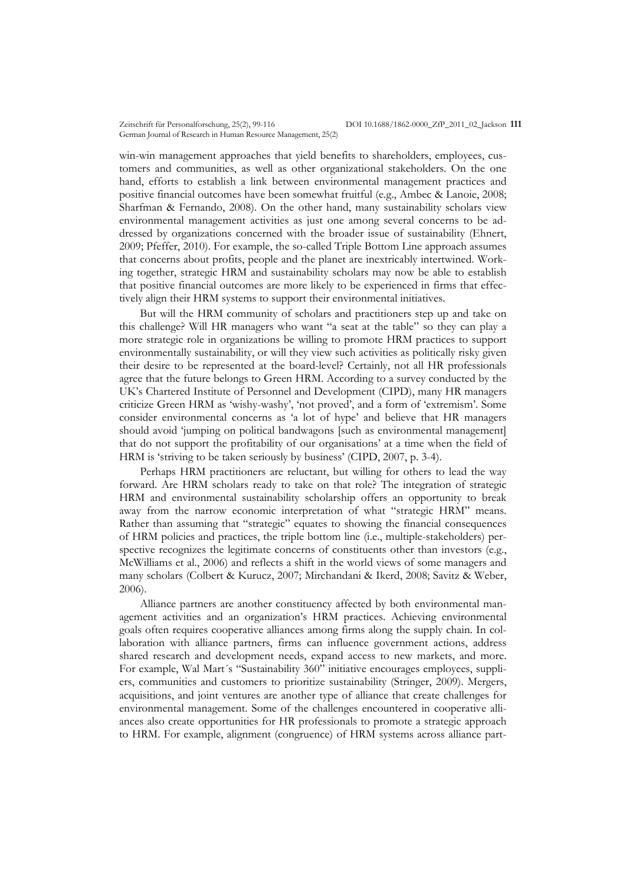Zeitschrift für Personalforschung, 25(2), 99-116 DOI 10.1688/1862-0000\_ZfP\_2011\_02\_Jackson **111**  German Journal of Research in Human Resource Management, 25(2)

win-win management approaches that yield benefits to shareholders, employees, customers and communities, as well as other organizational stakeholders. On the one hand, efforts to establish a link between environmental management practices and positive financial outcomes have been somewhat fruitful (e.g., Ambec & Lanoie, 2008; Sharfman & Fernando, 2008). On the other hand, many sustainability scholars view environmental management activities as just one among several concerns to be addressed by organizations concerned with the broader issue of sustainability (Ehnert, 2009; Pfeffer, 2010). For example, the so-called Triple Bottom Line approach assumes that concerns about profits, people and the planet are inextricably intertwined. Working together, strategic HRM and sustainability scholars may now be able to establish that positive financial outcomes are more likely to be experienced in firms that effectively align their HRM systems to support their environmental initiatives.

But will the HRM community of scholars and practitioners step up and take on this challenge? Will HR managers who want "a seat at the table" so they can play a more strategic role in organizations be willing to promote HRM practices to support environmentally sustainability, or will they view such activities as politically risky given their desire to be represented at the board-level? Certainly, not all HR professionals agree that the future belongs to Green HRM. According to a survey conducted by the UK's Chartered Institute of Personnel and Development (CIPD), many HR managers criticize Green HRM as 'wishy-washy', 'not proved', and a form of 'extremism'. Some consider environmental concerns as 'a lot of hype' and believe that HR managers should avoid 'jumping on political bandwagons [such as environmental management] that do not support the profitability of our organisations' at a time when the field of HRM is 'striving to be taken seriously by business' (CIPD, 2007, p. 3-4).

Perhaps HRM practitioners are reluctant, but willing for others to lead the way forward. Are HRM scholars ready to take on that role? The integration of strategic HRM and environmental sustainability scholarship offers an opportunity to break away from the narrow economic interpretation of what "strategic HRM" means. Rather than assuming that "strategic" equates to showing the financial consequences of HRM policies and practices, the triple bottom line (i.e., multiple-stakeholders) perspective recognizes the legitimate concerns of constituents other than investors (e.g., McWilliams et al., 2006) and reflects a shift in the world views of some managers and many scholars (Colbert & Kurucz, 2007; Mirchandani & Ikerd, 2008; Savitz & Weber, 2006).

Alliance partners are another constituency affected by both environmental management activities and an organization's HRM practices. Achieving environmental goals often requires cooperative alliances among firms along the supply chain. In collaboration with alliance partners, firms can influence government actions, address shared research and development needs, expand access to new markets, and more. For example, Wal Mart´s "Sustainability 360" initiative encourages employees, suppliers, communities and customers to prioritize sustainability (Stringer, 2009). Mergers, acquisitions, and joint ventures are another type of alliance that create challenges for environmental management. Some of the challenges encountered in cooperative alliances also create opportunities for HR professionals to promote a strategic approach to HRM. For example, alignment (congruence) of HRM systems across alliance part-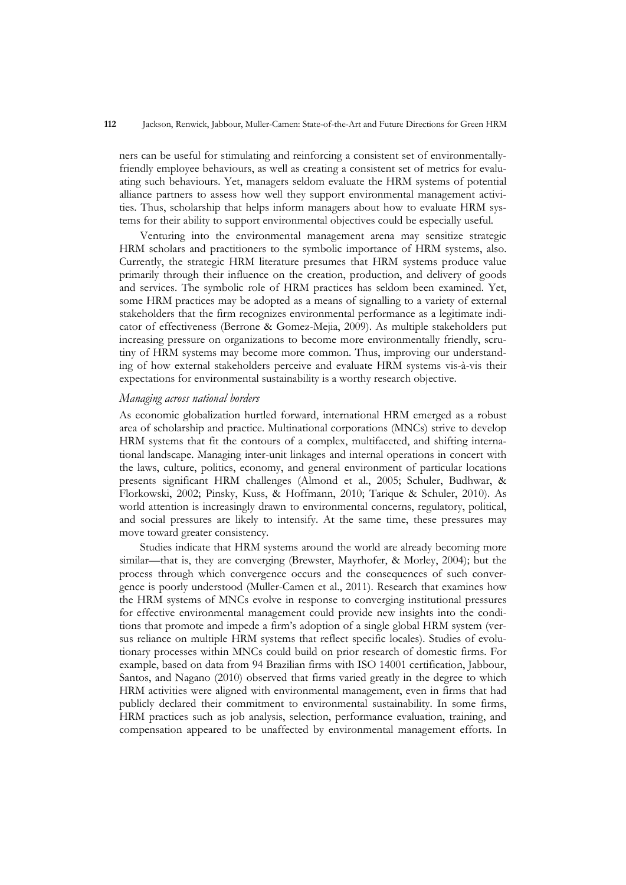ners can be useful for stimulating and reinforcing a consistent set of environmentallyfriendly employee behaviours, as well as creating a consistent set of metrics for evaluating such behaviours. Yet, managers seldom evaluate the HRM systems of potential alliance partners to assess how well they support environmental management activities. Thus, scholarship that helps inform managers about how to evaluate HRM systems for their ability to support environmental objectives could be especially useful.

Venturing into the environmental management arena may sensitize strategic HRM scholars and practitioners to the symbolic importance of HRM systems, also. Currently, the strategic HRM literature presumes that HRM systems produce value primarily through their influence on the creation, production, and delivery of goods and services. The symbolic role of HRM practices has seldom been examined. Yet, some HRM practices may be adopted as a means of signalling to a variety of external stakeholders that the firm recognizes environmental performance as a legitimate indicator of effectiveness (Berrone & Gomez-Mejia, 2009). As multiple stakeholders put increasing pressure on organizations to become more environmentally friendly, scrutiny of HRM systems may become more common. Thus, improving our understanding of how external stakeholders perceive and evaluate HRM systems vis-à-vis their expectations for environmental sustainability is a worthy research objective.

#### *Managing across national borders*

As economic globalization hurtled forward, international HRM emerged as a robust area of scholarship and practice. Multinational corporations (MNCs) strive to develop HRM systems that fit the contours of a complex, multifaceted, and shifting international landscape. Managing inter-unit linkages and internal operations in concert with the laws, culture, politics, economy, and general environment of particular locations presents significant HRM challenges (Almond et al., 2005; Schuler, Budhwar, & Florkowski, 2002; Pinsky, Kuss, & Hoffmann, 2010; Tarique & Schuler, 2010). As world attention is increasingly drawn to environmental concerns, regulatory, political, and social pressures are likely to intensify. At the same time, these pressures may move toward greater consistency.

Studies indicate that HRM systems around the world are already becoming more similar—that is, they are converging (Brewster, Mayrhofer, & Morley, 2004); but the process through which convergence occurs and the consequences of such convergence is poorly understood (Muller-Camen et al., 2011). Research that examines how the HRM systems of MNCs evolve in response to converging institutional pressures for effective environmental management could provide new insights into the conditions that promote and impede a firm's adoption of a single global HRM system (versus reliance on multiple HRM systems that reflect specific locales). Studies of evolutionary processes within MNCs could build on prior research of domestic firms. For example, based on data from 94 Brazilian firms with ISO 14001 certification, Jabbour, Santos, and Nagano (2010) observed that firms varied greatly in the degree to which HRM activities were aligned with environmental management, even in firms that had publicly declared their commitment to environmental sustainability. In some firms, HRM practices such as job analysis, selection, performance evaluation, training, and compensation appeared to be unaffected by environmental management efforts. In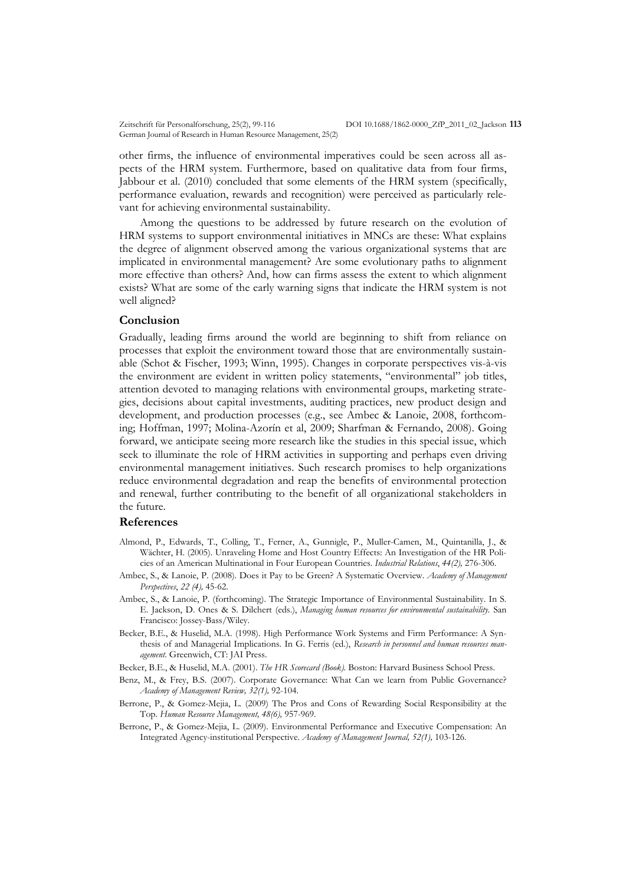other firms, the influence of environmental imperatives could be seen across all aspects of the HRM system. Furthermore, based on qualitative data from four firms, Jabbour et al. (2010) concluded that some elements of the HRM system (specifically, performance evaluation, rewards and recognition) were perceived as particularly relevant for achieving environmental sustainability.

Among the questions to be addressed by future research on the evolution of HRM systems to support environmental initiatives in MNCs are these: What explains the degree of alignment observed among the various organizational systems that are implicated in environmental management? Are some evolutionary paths to alignment more effective than others? And, how can firms assess the extent to which alignment exists? What are some of the early warning signs that indicate the HRM system is not well aligned?

#### **Conclusion**

Gradually, leading firms around the world are beginning to shift from reliance on processes that exploit the environment toward those that are environmentally sustainable (Schot & Fischer, 1993; Winn, 1995). Changes in corporate perspectives vis-à-vis the environment are evident in written policy statements, "environmental" job titles, attention devoted to managing relations with environmental groups, marketing strategies, decisions about capital investments, auditing practices, new product design and development, and production processes (e.g., see Ambec & Lanoie, 2008, forthcoming; Hoffman, 1997; Molina-Azorín et al, 2009; Sharfman & Fernando, 2008). Going forward, we anticipate seeing more research like the studies in this special issue, which seek to illuminate the role of HRM activities in supporting and perhaps even driving environmental management initiatives. Such research promises to help organizations reduce environmental degradation and reap the benefits of environmental protection and renewal, further contributing to the benefit of all organizational stakeholders in the future.

#### **References**

- Almond, P., Edwards, T., Colling, T., Ferner, A., Gunnigle, P., Muller-Camen, M., Quintanilla, J., & Wächter, H. (2005). Unraveling Home and Host Country Effects: An Investigation of the HR Policies of an American Multinational in Four European Countries. *Industrial Relations*, *44(2),* 276-306.
- Ambec, S., & Lanoie, P. (2008). Does it Pay to be Green? A Systematic Overview. *Academy of Management Perspectives*, *22 (4),* 45-62.
- Ambec, S., & Lanoie, P. (forthcoming). The Strategic Importance of Environmental Sustainability. In S. E. Jackson, D. Ones & S. Dilchert (eds.), *Managing human resources for environmental sustainability.* San Francisco: Jossey-Bass/Wiley.
- Becker, B.E., & Huselid, M.A. (1998). High Performance Work Systems and Firm Performance: A Synthesis of and Managerial Implications. In G. Ferris (ed.), *Research in personnel and human resources management*. Greenwich, CT: JAI Press.
- Becker, B.E., & Huselid, M.A. (2001). *The HR Scorecard (Book).* Boston: Harvard Business School Press.
- Benz, M., & Frey, B.S. (2007). Corporate Governance: What Can we learn from Public Governance? *Academy of Management Review, 32(1),* 92-104.
- Berrone, P., & Gomez-Mejia, L. (2009) The Pros and Cons of Rewarding Social Responsibility at the Top. *Human Resource Management, 48(6),* 957-969.
- Berrone, P., & Gomez-Mejia, L. (2009). Environmental Performance and Executive Compensation: An Integrated Agency-institutional Perspective. *Academy of Management Journal, 52(1),* 103-126.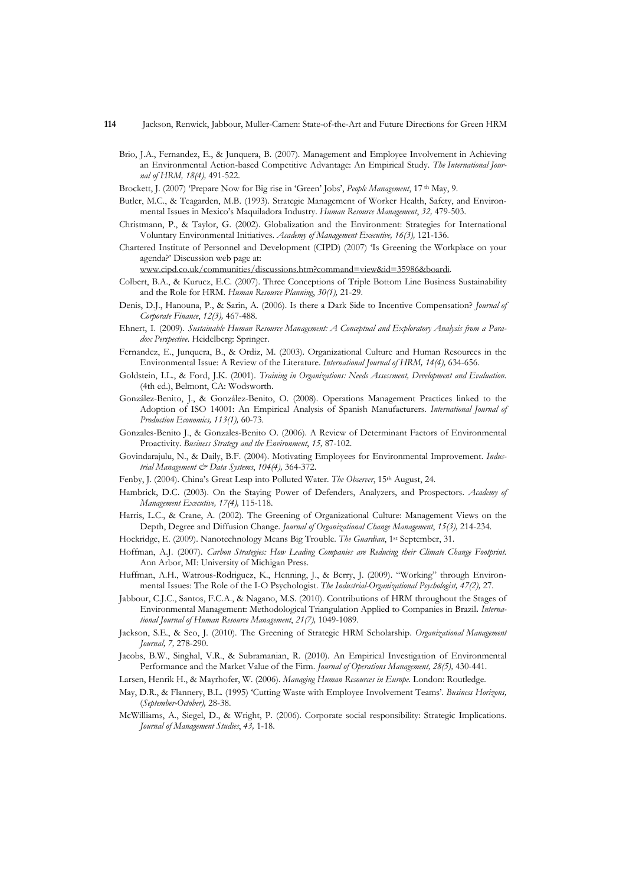- Brio, J.A., Fernandez, E., & Junquera, B. (2007). Management and Employee Involvement in Achieving an Environmental Action-based Competitive Advantage: An Empirical Study. *The International Journal of HRM, 18(4),* 491-522.
- Brockett, J. (2007) 'Prepare Now for Big rise in 'Green' Jobs', *People Management*, 17 th May, 9.
- Butler, M.C., & Teagarden, M.B. (1993). Strategic Management of Worker Health, Safety, and Environmental Issues in Mexico's Maquiladora Industry. *Human Resource Management*, *32,* 479-503.
- Christmann, P., & Taylor, G. (2002). Globalization and the Environment: Strategies for International Voluntary Environmental Initiatives. *Academy of Management Executive, 16(3),* 121-136.
- Chartered Institute of Personnel and Development (CIPD) (2007) 'Is Greening the Workplace on your agenda?' Discussion web page at:

www.cipd.co.uk/communities/discussions.htm?command=view&id=35986&boardi.

- Colbert, B.A., & Kurucz, E.C. (2007). Three Conceptions of Triple Bottom Line Business Sustainability and the Role for HRM. *Human Resource Planning*, *30(1),* 21-29.
- Denis, D.J., Hanouna, P., & Sarin, A. (2006). Is there a Dark Side to Incentive Compensation? *Journal of Corporate Finance*, *12(3),* 467-488.
- Ehnert, I. (2009). *Sustainable Human Resource Management: A Conceptual and Exploratory Analysis from a Paradox Perspective*. Heidelberg: Springer.
- Fernandez, E., Junquera, B., & Ordiz, M. (2003). Organizational Culture and Human Resources in the Environmental Issue: A Review of the Literature. *International Journal of HRM, 14(4),* 634-656.
- Goldstein, I.L., & Ford, J.K. (2001). *Training in Organizations: Needs Assessment, Development and Evaluation.* (4th ed.), Belmont, CA: Wodsworth.
- González-Benito, J., & González-Benito, O. (2008). Operations Management Practices linked to the Adoption of ISO 14001: An Empirical Analysis of Spanish Manufacturers. *International Journal of Production Economics, 113(1),* 60-73.
- Gonzales-Benito J., & Gonzales-Benito O. (2006). A Review of Determinant Factors of Environmental Proactivity. *Business Strategy and the Environment*, *15,* 87-102.
- Govindarajulu, N., & Daily, B.F. (2004). Motivating Employees for Environmental Improvement. *Industrial Management & Data Systems*, *104(4),* 364-372.
- Fenby, J. (2004). China's Great Leap into Polluted Water. *The Observer*, 15th August, 24.
- Hambrick, D.C. (2003). On the Staying Power of Defenders, Analyzers, and Prospectors. *Academy of Management Executive, 17(4),* 115-118.
- Harris, L.C., & Crane, A. (2002). The Greening of Organizational Culture: Management Views on the Depth, Degree and Diffusion Change. *Journal of Organizational Change Management*, *15(3),* 214-234.
- Hockridge, E. (2009). Nanotechnology Means Big Trouble. *The Guardian*, 1st September, 31.
- Hoffman, A.J. (2007). *Carbon Strategies: How Leading Companies are Reducing their Climate Change Footprint.*  Ann Arbor, MI: University of Michigan Press.
- Huffman, A.H., Watrous-Rodriguez, K., Henning, J., & Berry, J. (2009). "Working" through Environmental Issues: The Role of the I-O Psychologist. *The Industrial-Organizational Psychologist, 47(2),* 27.
- Jabbour, C.J.C., Santos, F.C.A., & Nagano, M.S. (2010). Contributions of HRM throughout the Stages of Environmental Management: Methodological Triangulation Applied to Companies in Brazil**.** *International Journal of Human Resource Management*, *21(7),* 1049-1089.
- Jackson, S.E., & Seo, J. (2010). The Greening of Strategic HRM Scholarship. *Organizational Management Journal, 7,* 278-290.
- Jacobs, B.W., Singhal, V.R., & Subramanian, R. (2010). An Empirical Investigation of Environmental Performance and the Market Value of the Firm. *Journal of Operations Management, 28(5),* 430-441.
- Larsen, Henrik H., & Mayrhofer, W. (2006). *Managing Human Resources in Europe*. London: Routledge.
- May, D.R., & Flannery, B.L. (1995) 'Cutting Waste with Employee Involvement Teams'. *Business Horizons,*  (*September-October),* 28-38.
- McWilliams, A., Siegel, D., & Wright, P. (2006). Corporate social responsibility: Strategic Implications. *Journal of Management Studies*, *43,* 1-18.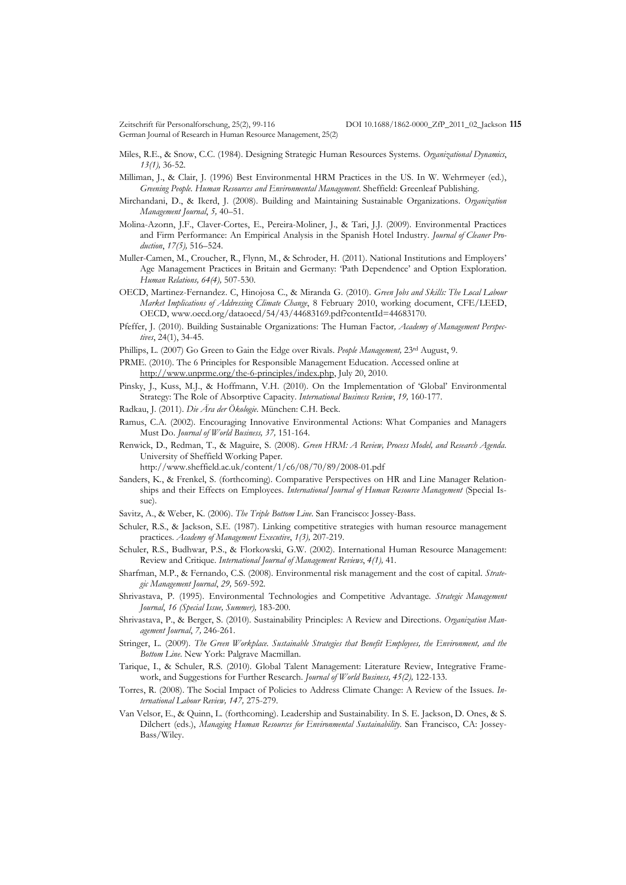Zeitschrift für Personalforschung, 25(2), 99-116 DOI 10.1688/1862-0000\_ZfP\_2011\_02\_Jackson **115**  German Journal of Research in Human Resource Management, 25(2)

- Miles, R.E., & Snow, C.C. (1984). Designing Strategic Human Resources Systems. *Organizational Dynamics*, *13(1),* 36-52.
- Milliman, J., & Clair, J. (1996) Best Environmental HRM Practices in the US. In W. Wehrmeyer (ed.), *Greening People. Human Resources and Environmental Management*. Sheffield: Greenleaf Publishing.
- Mirchandani, D., & Ikerd, J. (2008). Building and Maintaining Sustainable Organizations. *Organization Management Journal*, *5,* 40–51.
- Molina-Azorın, J.F., Claver-Cortes, E., Pereira-Moliner, J., & Tari, J.J. (2009). Environmental Practices and Firm Performance: An Empirical Analysis in the Spanish Hotel Industry. *Journal of Cleaner Production*, *17(5),* 516–524.
- Muller-Camen, M., Croucher, R., Flynn, M., & Schroder, H. (2011). National Institutions and Employers' Age Management Practices in Britain and Germany: 'Path Dependence' and Option Exploration. *Human Relations, 64(4),* 507-530.
- OECD, Martinez-Fernandez. C, Hinojosa C., & Miranda G. (2010). *Green Jobs and Skills: The Local Labour Market Implications of Addressing Climate Change*, 8 February 2010, working document, CFE/LEED, OECD, www.oecd.org/dataoecd/54/43/44683169.pdf?contentId=44683170.
- Pfeffer, J. (2010). Building Sustainable Organizations: The Human Factor*, Academy of Management Perspectives*, 24(1), 34-45.
- Phillips, L. (2007) Go Green to Gain the Edge over Rivals. *People Management,* 23rd August, 9.
- PRME. (2010). The 6 Principles for Responsible Management Education. Accessed online at http://www.unprme.org/the-6-principles/index.php, July 20, 2010.
- Pinsky, J., Kuss, M.J., & Hoffmann, V.H. (2010). On the Implementation of 'Global' Environmental Strategy: The Role of Absorptive Capacity. *International Business Review*, *19,* 160-177.
- Radkau, J. (2011). *Die Ära der Ökologie*. München: C.H. Beck.
- Ramus, C.A. (2002). Encouraging Innovative Environmental Actions: What Companies and Managers Must Do. *Journal of World Business, 37,* 151-164.
- Renwick, D., Redman, T., & Maguire, S. (2008). *Green HRM: A Review, Process Model, and Research Agenda*. University of Sheffield Working Paper.

http://www.sheffield.ac.uk/content/1/c6/08/70/89/2008-01.pdf

- Sanders, K., & Frenkel, S. (forthcoming). Comparative Perspectives on HR and Line Manager Relationships and their Effects on Employees. *International Journal of Human Resource Management* (Special Issue).
- Savitz, A., & Weber, K. (2006). *The Triple Bottom Line*. San Francisco: Jossey-Bass.
- Schuler, R.S., & Jackson, S.E. (1987). Linking competitive strategies with human resource management practices. *Academy of Management Executive*, *1(3),* 207-219.
- Schuler, R.S., Budhwar, P.S., & Florkowski, G.W. (2002). International Human Resource Management: Review and Critique. *International Journal of Management Reviews*, *4(1),* 41.
- Sharfman, M.P., & Fernando, C.S. (2008). Environmental risk management and the cost of capital. *Strategic Management Journal*, *29,* 569-592.
- Shrivastava, P. (1995). Environmental Technologies and Competitive Advantage. *Strategic Management Journal*, *16 (Special Issue, Summer),* 183-200.
- Shrivastava, P., & Berger, S. (2010). Sustainability Principles: A Review and Directions. *Organization Management Journal*, *7,* 246-261.
- Stringer, L. (2009). *The Green Workplace. Sustainable Strategies that Benefit Employees, the Environment, and the Bottom Line*. New York: Palgrave Macmillan.
- Tarique, I., & Schuler, R.S. (2010). Global Talent Management: Literature Review, Integrative Framework, and Suggestions for Further Research. *Journal of World Business, 45(2),* 122-133.
- Torres, R. (2008). The Social Impact of Policies to Address Climate Change: A Review of the Issues. *International Labour Review, 147,* 275-279.
- Van Velsor, E., & Quinn, L. (forthcoming). Leadership and Sustainability. In S. E. Jackson, D. Ones, & S. Dilchert (eds.), *Managing Human Resources for Environmental Sustainability.* San Francisco, CA: Jossey-Bass/Wiley.